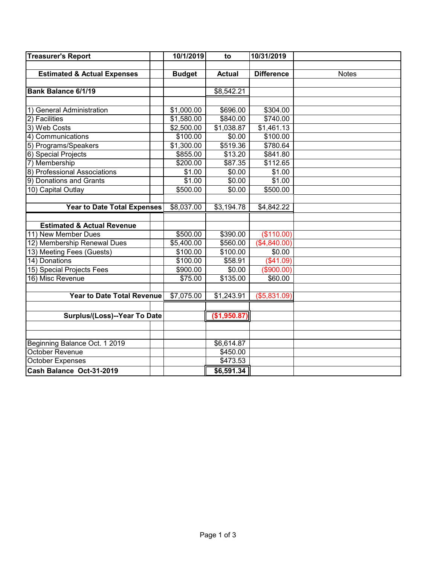| <b>Treasurer's Report</b>              | 10/1/2019<br>to |               | 10/31/2019        |              |
|----------------------------------------|-----------------|---------------|-------------------|--------------|
|                                        |                 |               |                   |              |
| <b>Estimated &amp; Actual Expenses</b> | <b>Budget</b>   | <b>Actual</b> | <b>Difference</b> | <b>Notes</b> |
|                                        |                 |               |                   |              |
| Bank Balance 6/1/19                    |                 | \$8,542.21    |                   |              |
|                                        |                 |               |                   |              |
| 1) General Administration              | \$1,000.00      | \$696.00      | \$304.00          |              |
| 2) Facilities                          | \$1,580.00      | \$840.00      | \$740.00          |              |
| 3) Web Costs                           | \$2,500.00      | \$1,038.87    | \$1,461.13        |              |
| 4) Communications                      | \$100.00        | \$0.00        | \$100.00          |              |
| 5) Programs/Speakers                   | \$1,300.00      | \$519.36      | \$780.64          |              |
| 6) Special Projects                    | \$855.00        | \$13.20       | \$841.80          |              |
| 7) Membership                          | \$200.00        | \$87.35       | \$112.65          |              |
| 8) Professional Associations           | \$1.00          | \$0.00        | \$1.00            |              |
| 9) Donations and Grants                | \$1.00          | \$0.00        | \$1.00            |              |
| 10) Capital Outlay                     | \$500.00        | \$0.00        | \$500.00          |              |
|                                        |                 |               |                   |              |
| <b>Year to Date Total Expenses</b>     | \$8,037.00      | \$3,194.78    | \$4,842.22        |              |
|                                        |                 |               |                   |              |
| <b>Estimated &amp; Actual Revenue</b>  |                 |               |                   |              |
| 11) New Member Dues                    | \$500.00        | \$390.00      | (\$110.00)        |              |
| 12) Membership Renewal Dues            | \$5,400.00      | \$560.00      | (\$4,840.00)      |              |
| 13) Meeting Fees (Guests)              | \$100.00        | \$100.00      | \$0.00            |              |
| 14) Donations                          | \$100.00        | \$58.91       | (\$41.09)         |              |
| 15) Special Projects Fees              | \$900.00        | \$0.00        | (\$900.00)        |              |
| 16) Misc Revenue                       | \$75.00         | \$135.00      | \$60.00           |              |
|                                        |                 |               |                   |              |
| <b>Year to Date Total Revenue</b>      | \$7,075.00      | \$1,243.91    | (\$5,831.09)      |              |
|                                        |                 |               |                   |              |
| Surplus/(Loss)--Year To Date           |                 | (\$1,950.87)  |                   |              |
|                                        |                 |               |                   |              |
|                                        |                 |               |                   |              |
| Beginning Balance Oct. 1 2019          |                 | \$6,614.87    |                   |              |
| October Revenue                        |                 | \$450.00      |                   |              |
| <b>October Expenses</b>                |                 | \$473.53      |                   |              |
| Cash Balance Oct-31-2019               |                 | \$6,591.34    |                   |              |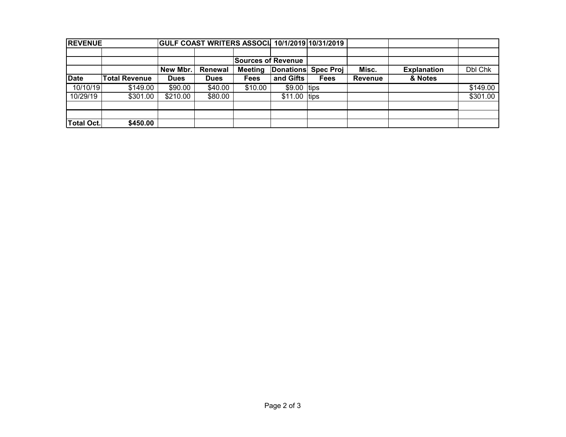| <b>REVENUE</b>    |                      |             |             |                           |                  | GULF COAST WRITERS ASSOCI 10/1/2019 10/31/2019 |                |                    |          |
|-------------------|----------------------|-------------|-------------|---------------------------|------------------|------------------------------------------------|----------------|--------------------|----------|
|                   |                      |             |             |                           |                  |                                                |                |                    |          |
|                   |                      |             |             | <b>Sources of Revenue</b> |                  |                                                |                |                    |          |
|                   |                      | New Mbr.    | Renewal     | <b>Meeting</b>            | <b>Donations</b> | <b>Spec Proj</b>                               | Misc.          | <b>Explanation</b> | Dbl Chk  |
| Date              | <b>Total Revenue</b> | <b>Dues</b> | <b>Dues</b> | <b>Fees</b>               | and Gifts        | <b>Fees</b>                                    | <b>Revenue</b> | & Notes            |          |
| 10/10/19          | \$149.00             | \$90.00     | \$40.00     | \$10.00                   | $$9.00$ tips     |                                                |                |                    | \$149.00 |
| 10/29/19          | \$301.00             | \$210.00    | \$80.00     |                           | $$11.00$ tips    |                                                |                |                    | \$301.00 |
|                   |                      |             |             |                           |                  |                                                |                |                    |          |
|                   |                      |             |             |                           |                  |                                                |                |                    |          |
| <b>Total Oct.</b> | \$450.00             |             |             |                           |                  |                                                |                |                    |          |